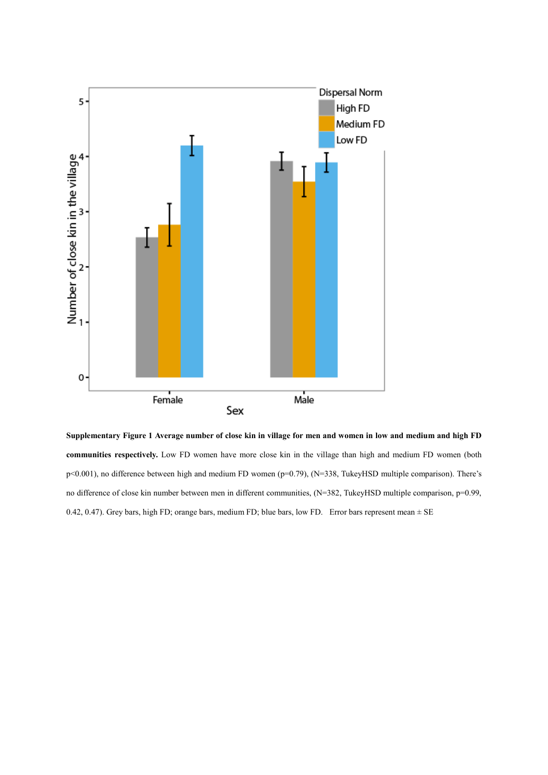

**Supplementary Figure 1 Average number of close kin in village for men and women in low and medium and high FD communities respectively.** Low FD women have more close kin in the village than high and medium FD women (both p<0.001), no difference between high and medium FD women (p=0.79), (N=338, TukeyHSD multiple comparison). There's no difference of close kin number between men in different communities, (N=382, TukeyHSD multiple comparison, p=0.99, 0.42, 0.47). Grey bars, high FD; orange bars, medium FD; blue bars, low FD. Error bars represent mean  $\pm$  SE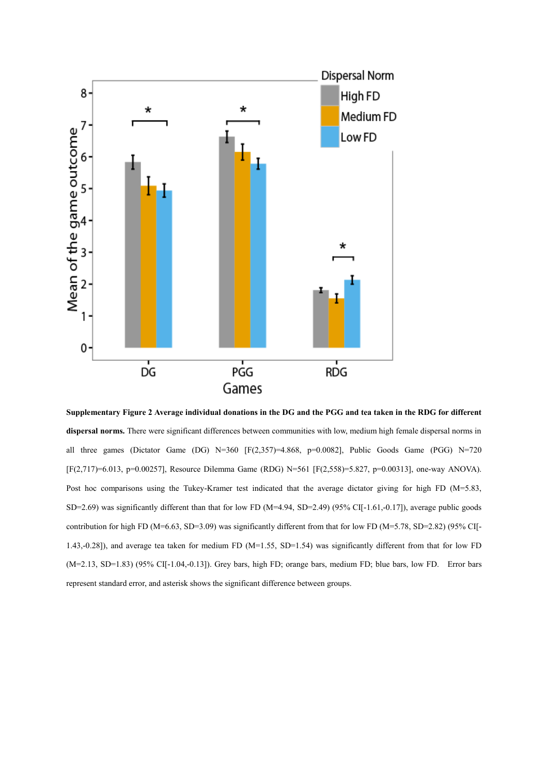

**Supplementary Figure 2 Average individual donations in the DG and the PGG and tea taken in the RDG for different dispersal norms.** There were significant differences between communities with low, medium high female dispersal norms in all three games (Dictator Game (DG) N=360 [F(2,357)=4.868, p=0.0082], Public Goods Game (PGG) N=720 [F(2,717)=6.013, p=0.00257], Resource Dilemma Game (RDG) N=561 [F(2,558)=5.827, p=0.00313], one-way ANOVA). Post hoc comparisons using the Tukey-Kramer test indicated that the average dictator giving for high FD (M=5.83, SD=2.69) was significantly different than that for low FD ( $M=4.94$ , SD=2.49) (95% CI[-1.61,-0.17]), average public goods contribution for high FD (M=6.63, SD=3.09) was significantly different from that for low FD (M=5.78, SD=2.82) (95% CI[-1.43,-0.28]), and average tea taken for medium FD (M=1.55, SD=1.54) was significantly different from that for low FD (M=2.13, SD=1.83) (95% CI[-1.04,-0.13]). Grey bars, high FD; orange bars, medium FD; blue bars, low FD. Error bars represent standard error, and asterisk shows the significant difference between groups.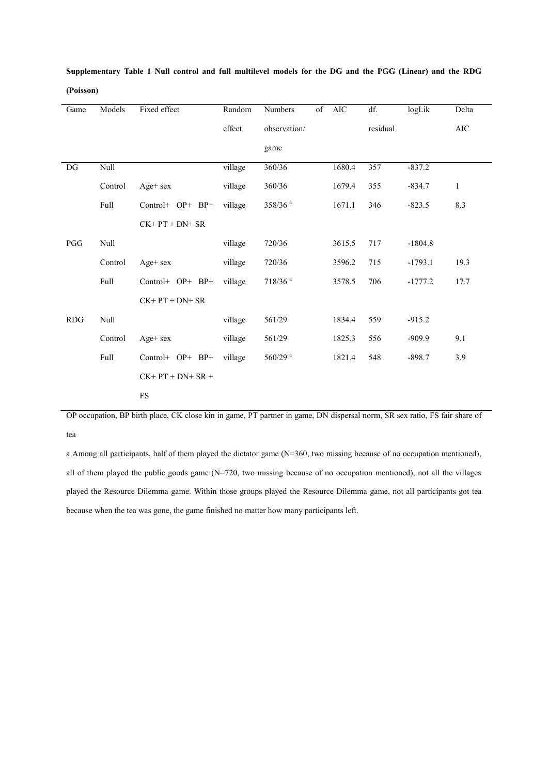| Game       | Models  | Fixed effect       | Random  | Numbers               | of | AIC    | df.      | logLik    | Delta        |
|------------|---------|--------------------|---------|-----------------------|----|--------|----------|-----------|--------------|
|            |         |                    | effect  | observation/          |    |        | residual |           | <b>AIC</b>   |
|            |         |                    |         | game                  |    |        |          |           |              |
| DG         | Null    |                    | village | 360/36                |    | 1680.4 | 357      | $-837.2$  |              |
|            | Control | $Age + sex$        | village | 360/36                |    | 1679.4 | 355      | $-834.7$  | $\mathbf{1}$ |
|            | Full    | Control+ OP+ BP+   | village | 358/36 <sup>a</sup>   |    | 1671.1 | 346      | $-823.5$  | 8.3          |
|            |         | $CK+PT + DN+ SR$   |         |                       |    |        |          |           |              |
| PGG        | Null    |                    | village | 720/36                |    | 3615.5 | 717      | $-1804.8$ |              |
|            | Control | Age+ sex           | village | 720/36                |    | 3596.2 | 715      | $-1793.1$ | 19.3         |
|            | Full    | Control+ OP+ BP+   | village | $718/36$ <sup>a</sup> |    | 3578.5 | 706      | $-1777.2$ | 17.7         |
|            |         | $CK+PT + DN+ SR$   |         |                       |    |        |          |           |              |
| <b>RDG</b> | Null    |                    | village | 561/29                |    | 1834.4 | 559      | $-915.2$  |              |
|            | Control | $Age + sex$        | village | 561/29                |    | 1825.3 | 556      | $-909.9$  | 9.1          |
|            | Full    | Control+ OP+ BP+   | village | $560/29$ <sup>a</sup> |    | 1821.4 | 548      | $-898.7$  | 3.9          |
|            |         | $CK+PT + DN+ SR +$ |         |                       |    |        |          |           |              |
|            |         | ${\rm FS}$         |         |                       |    |        |          |           |              |

**Supplementary Table 1 Null control and full multilevel models for the DG and the PGG (Linear) and the RDG (Poisson)**

OP occupation, BP birth place, CK close kin in game, PT partner in game, DN dispersal norm, SR sex ratio, FS fair share of tea

a Among all participants, half of them played the dictator game (N=360, two missing because of no occupation mentioned), all of them played the public goods game (N=720, two missing because of no occupation mentioned), not all the villages played the Resource Dilemma game. Within those groups played the Resource Dilemma game, not all participants got tea because when the tea was gone, the game finished no matter how many participants left.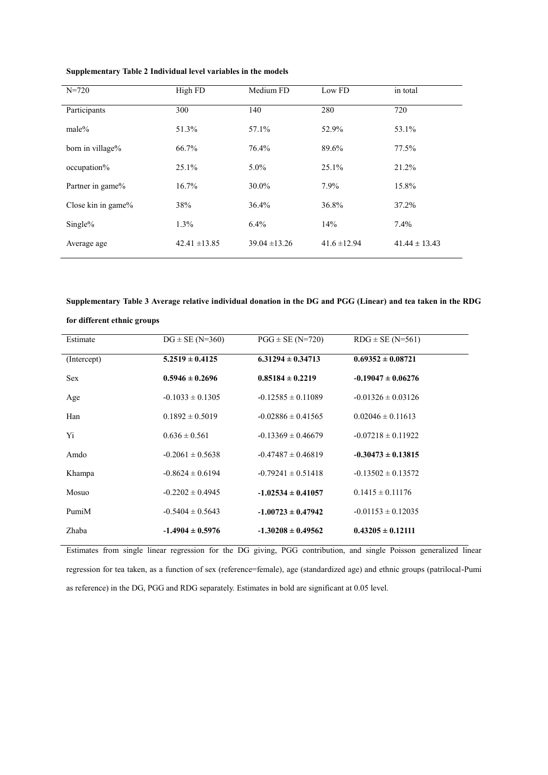| $N = 720$          | High FD           | Medium FD         | Low FD           | in total          |
|--------------------|-------------------|-------------------|------------------|-------------------|
| Participants       | 300               | 140               | 280              | 720               |
| $male\%$           | 51.3%             | 57.1%             | 52.9%            | 53.1%             |
| born in village%   | 66.7%             | 76.4%             | 89.6%            | 77.5%             |
| occupation%        | 25.1%             | $5.0\%$           | 25.1%            | 21.2%             |
| Partner in game%   | 16.7%             | 30.0%             | 7.9%             | 15.8%             |
| Close kin in game% | 38%               | 36.4%             | 36.8%            | 37.2%             |
| $Single\%$         | $1.3\%$           | $6.4\%$           | 14%              | 7.4%              |
| Average age        | $42.41 \pm 13.85$ | $39.04 \pm 13.26$ | $41.6 \pm 12.94$ | $41.44 \pm 13.43$ |

**Supplementary Table 2 Individual level variables in the models**

**Supplementary Table 3 Average relative individual donation in the DG and PGG (Linear) and tea taken in the RDG**

| Estimate    | $DG \pm SE (N=360)$  | $PGG \pm SE (N=720)$   | $RDG \pm SE (N=561)$   |
|-------------|----------------------|------------------------|------------------------|
| (Intercept) | $5.2519 \pm 0.4125$  | $6.31294 \pm 0.34713$  | $0.69352 \pm 0.08721$  |
| <b>Sex</b>  | $0.5946 \pm 0.2696$  | $0.85184 \pm 0.2219$   | $-0.19047 \pm 0.06276$ |
| Age         | $-0.1033 \pm 0.1305$ | $-0.12585 \pm 0.11089$ | $-0.01326 \pm 0.03126$ |
| Han         | $0.1892 \pm 0.5019$  | $-0.02886 \pm 0.41565$ | $0.02046 \pm 0.11613$  |
| Yi          | $0.636 \pm 0.561$    | $-0.13369 \pm 0.46679$ | $-0.07218 \pm 0.11922$ |
| Amdo        | $-0.2061 \pm 0.5638$ | $-0.47487 \pm 0.46819$ | $-0.30473 \pm 0.13815$ |
| Khampa      | $-0.8624 \pm 0.6194$ | $-0.79241 \pm 0.51418$ | $-0.13502 \pm 0.13572$ |
| Mosuo       | $-0.2202 \pm 0.4945$ | $-1.02534 \pm 0.41057$ | $0.1415 \pm 0.11176$   |
| PumiM       | $-0.5404 \pm 0.5643$ | $-1.00723 \pm 0.47942$ | $-0.01153 \pm 0.12035$ |
| Zhaba       | $-1.4904 \pm 0.5976$ | $-1.30208 \pm 0.49562$ | $0.43205 \pm 0.12111$  |

**for different ethnic groups**

Estimates from single linear regression for the DG giving, PGG contribution, and single Poisson generalized linear regression for tea taken, as a function of sex (reference=female), age (standardized age) and ethnic groups (patrilocal-Pumi as reference) in the DG, PGG and RDG separately. Estimates in bold are significant at 0.05 level.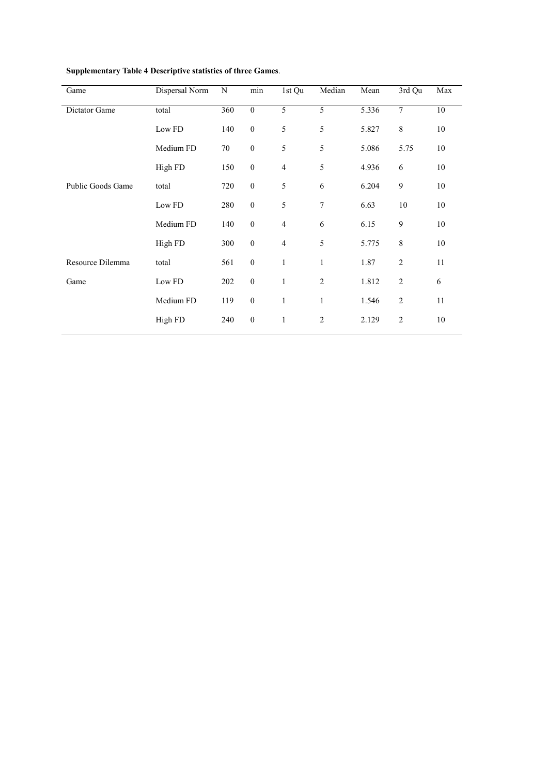| Dispersal Norm | N   | min              | 1st Qu         | Median         | Mean  | 3rd Qu         | Max    |
|----------------|-----|------------------|----------------|----------------|-------|----------------|--------|
| total          | 360 | $\boldsymbol{0}$ | 5              | $\overline{5}$ | 5.336 | $\tau$         | $10\,$ |
| Low FD         | 140 | $\boldsymbol{0}$ | 5              | 5              | 5.827 | 8              | 10     |
| Medium FD      | 70  | $\boldsymbol{0}$ | 5              | 5              | 5.086 | 5.75           | 10     |
| High FD        | 150 | $\boldsymbol{0}$ | $\overline{4}$ | 5              | 4.936 | 6              | 10     |
| total          | 720 | $\boldsymbol{0}$ | 5              | 6              | 6.204 | 9              | 10     |
| Low FD         | 280 | $\boldsymbol{0}$ | 5              | 7              | 6.63  | $10\,$         | $10\,$ |
| Medium FD      | 140 | $\mathbf{0}$     | $\overline{4}$ | 6              | 6.15  | 9              | 10     |
| High FD        | 300 | $\boldsymbol{0}$ | $\overline{4}$ | 5              | 5.775 | 8              | 10     |
| total          | 561 | $\mathbf{0}$     | $\mathbf{1}$   | $\mathbf{1}$   | 1.87  | $\overline{2}$ | 11     |
| Low FD         | 202 | $\mathbf{0}$     | $\mathbf{1}$   | $\overline{2}$ | 1.812 | $\overline{2}$ | 6      |
| Medium FD      | 119 | $\boldsymbol{0}$ | $\mathbf{1}$   | $\mathbf{1}$   | 1.546 | $\overline{2}$ | 11     |
| High FD        | 240 | $\boldsymbol{0}$ | $\mathbf{1}$   | 2              | 2.129 | $\overline{2}$ | 10     |
|                |     |                  |                |                |       |                |        |

# **Supplementary Table 4 Descriptive statistics of three Games**.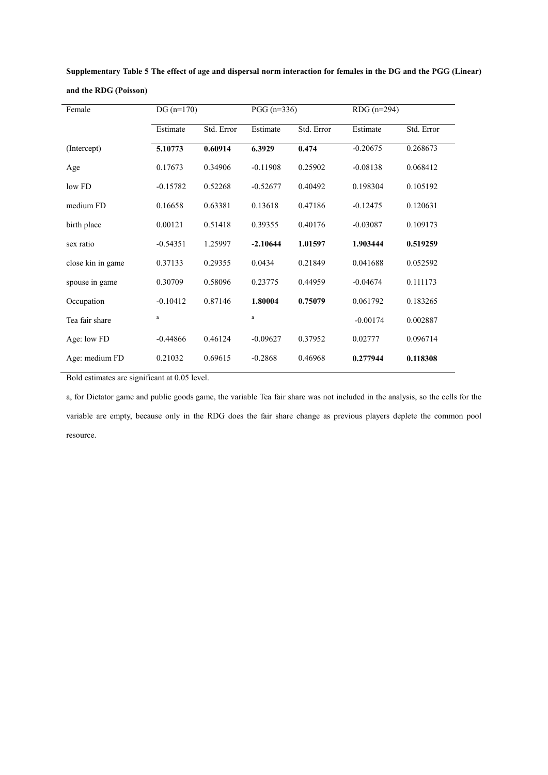| Female            | $DG(n=170)$ |            | $PGG (n=336)$ |            | RDG (n=294) |            |  |
|-------------------|-------------|------------|---------------|------------|-------------|------------|--|
|                   | Estimate    | Std. Error | Estimate      | Std. Error | Estimate    | Std. Error |  |
| (Intercept)       | 5.10773     | 0.60914    | 6.3929        | 0.474      | $-0.20675$  | 0.268673   |  |
| Age               | 0.17673     | 0.34906    | $-0.11908$    | 0.25902    | $-0.08138$  | 0.068412   |  |
| low FD            | $-0.15782$  | 0.52268    | $-0.52677$    | 0.40492    | 0.198304    | 0.105192   |  |
| medium FD         | 0.16658     | 0.63381    | 0.13618       | 0.47186    | $-0.12475$  | 0.120631   |  |
| birth place       | 0.00121     | 0.51418    | 0.39355       | 0.40176    | $-0.03087$  | 0.109173   |  |
| sex ratio         | $-0.54351$  | 1.25997    | $-2.10644$    | 1.01597    | 1.903444    | 0.519259   |  |
| close kin in game | 0.37133     | 0.29355    | 0.0434        | 0.21849    | 0.041688    | 0.052592   |  |
| spouse in game    | 0.30709     | 0.58096    | 0.23775       | 0.44959    | $-0.04674$  | 0.111173   |  |
| Occupation        | $-0.10412$  | 0.87146    | 1.80004       | 0.75079    | 0.061792    | 0.183265   |  |
| Tea fair share    | a           |            | a             |            | $-0.00174$  | 0.002887   |  |
| Age: low FD       | $-0.44866$  | 0.46124    | $-0.09627$    | 0.37952    | 0.02777     | 0.096714   |  |
| Age: medium FD    | 0.21032     | 0.69615    | $-0.2868$     | 0.46968    | 0.277944    | 0.118308   |  |

**Supplementary Table 5 The effect of age and dispersal norm interaction for females in the DG and the PGG (Linear) and the RDG (Poisson)** 

Bold estimates are significant at 0.05 level.

a, for Dictator game and public goods game, the variable Tea fair share was not included in the analysis, so the cells for the variable are empty, because only in the RDG does the fair share change as previous players deplete the common pool resource.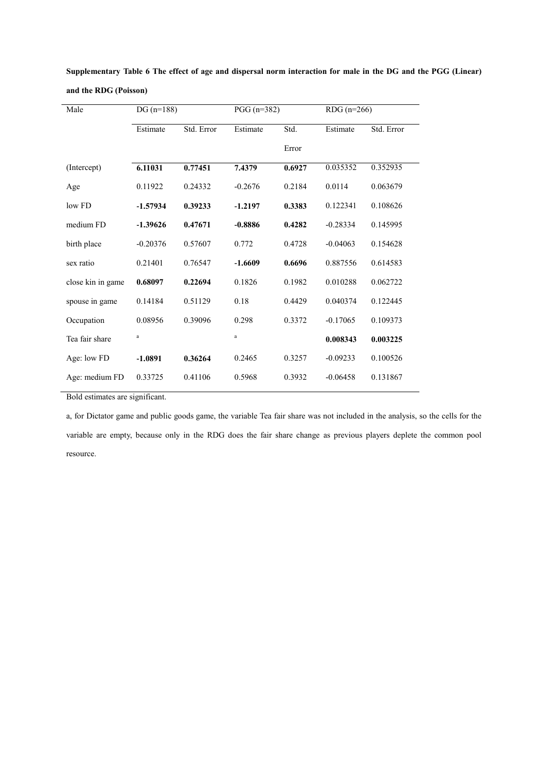| Male              | $DG(n=188)$ |            | $PGG (n=382)$ |        | $RDG(n=266)$ |            |  |
|-------------------|-------------|------------|---------------|--------|--------------|------------|--|
|                   | Estimate    | Std. Error | Estimate      | Std.   | Estimate     | Std. Error |  |
|                   |             |            |               | Error  |              |            |  |
| (Intercept)       | 6.11031     | 0.77451    | 7.4379        | 0.6927 | 0.035352     | 0.352935   |  |
| Age               | 0.11922     | 0.24332    | $-0.2676$     | 0.2184 | 0.0114       | 0.063679   |  |
| low FD            | $-1.57934$  | 0.39233    | $-1.2197$     | 0.3383 | 0.122341     | 0.108626   |  |
| medium FD         | $-1.39626$  | 0.47671    | $-0.8886$     | 0.4282 | $-0.28334$   | 0.145995   |  |
| birth place       | $-0.20376$  | 0.57607    | 0.772         | 0.4728 | $-0.04063$   | 0.154628   |  |
| sex ratio         | 0.21401     | 0.76547    | $-1.6609$     | 0.6696 | 0.887556     | 0.614583   |  |
| close kin in game | 0.68097     | 0.22694    | 0.1826        | 0.1982 | 0.010288     | 0.062722   |  |
| spouse in game    | 0.14184     | 0.51129    | 0.18          | 0.4429 | 0.040374     | 0.122445   |  |
| Occupation        | 0.08956     | 0.39096    | 0.298         | 0.3372 | $-0.17065$   | 0.109373   |  |
| Tea fair share    | $\rm{a}$    |            | $\rm{a}$      |        | 0.008343     | 0.003225   |  |
| Age: low FD       | $-1.0891$   | 0.36264    | 0.2465        | 0.3257 | $-0.09233$   | 0.100526   |  |
| Age: medium FD    | 0.33725     | 0.41106    | 0.5968        | 0.3932 | $-0.06458$   | 0.131867   |  |

**Supplementary Table 6 The effect of age and dispersal norm interaction for male in the DG and the PGG (Linear) and the RDG (Poisson)** 

Bold estimates are significant.

 $\overline{a}$ 

a, for Dictator game and public goods game, the variable Tea fair share was not included in the analysis, so the cells for the variable are empty, because only in the RDG does the fair share change as previous players deplete the common pool resource.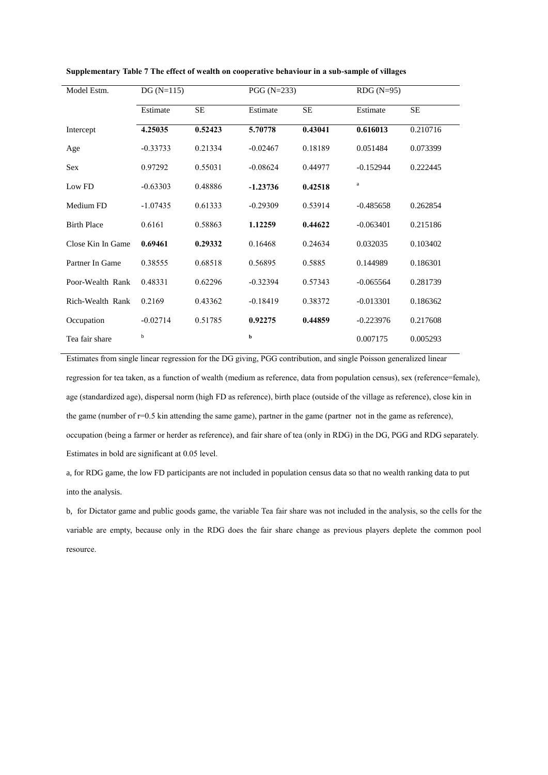| Model Estm.        | $DG(N=115)$ |           | $PGG (N=233)$ |         | $RDG(N=95)$ |           |  |
|--------------------|-------------|-----------|---------------|---------|-------------|-----------|--|
|                    | Estimate    | <b>SE</b> | Estimate      | SE      | Estimate    | <b>SE</b> |  |
| Intercept          | 4.25035     | 0.52423   | 5.70778       | 0.43041 | 0.616013    | 0.210716  |  |
| Age                | $-0.33733$  | 0.21334   | $-0.02467$    | 0.18189 | 0.051484    | 0.073399  |  |
| <b>Sex</b>         | 0.97292     | 0.55031   | $-0.08624$    | 0.44977 | $-0.152944$ | 0.222445  |  |
| Low FD             | $-0.63303$  | 0.48886   | $-1.23736$    | 0.42518 | $\rm{a}$    |           |  |
| Medium FD          | $-1.07435$  | 0.61333   | $-0.29309$    | 0.53914 | $-0.485658$ | 0.262854  |  |
| <b>Birth Place</b> | 0.6161      | 0.58863   | 1.12259       | 0.44622 | $-0.063401$ | 0.215186  |  |
| Close Kin In Game  | 0.69461     | 0.29332   | 0.16468       | 0.24634 | 0.032035    | 0.103402  |  |
| Partner In Game    | 0.38555     | 0.68518   | 0.56895       | 0.5885  | 0.144989    | 0.186301  |  |
| Poor-Wealth Rank   | 0.48331     | 0.62296   | $-0.32394$    | 0.57343 | $-0.065564$ | 0.281739  |  |
| Rich-Wealth Rank   | 0.2169      | 0.43362   | $-0.18419$    | 0.38372 | $-0.013301$ | 0.186362  |  |
| Occupation         | $-0.02714$  | 0.51785   | 0.92275       | 0.44859 | $-0.223976$ | 0.217608  |  |
| Tea fair share     | b           |           | b             |         | 0.007175    | 0.005293  |  |

**Supplementary Table 7 The effect of wealth on cooperative behaviour in a sub-sample of villages**

Estimates from single linear regression for the DG giving, PGG contribution, and single Poisson generalized linear regression for tea taken, as a function of wealth (medium as reference, data from population census), sex (reference=female), age (standardized age), dispersal norm (high FD as reference), birth place (outside of the village as reference), close kin in the game (number of r=0.5 kin attending the same game), partner in the game (partner not in the game as reference), occupation (being a farmer or herder as reference), and fair share of tea (only in RDG) in the DG, PGG and RDG separately. Estimates in bold are significant at 0.05 level.

a, for RDG game, the low FD participants are not included in population census data so that no wealth ranking data to put into the analysis.

b, for Dictator game and public goods game, the variable Tea fair share was not included in the analysis, so the cells for the variable are empty, because only in the RDG does the fair share change as previous players deplete the common pool resource.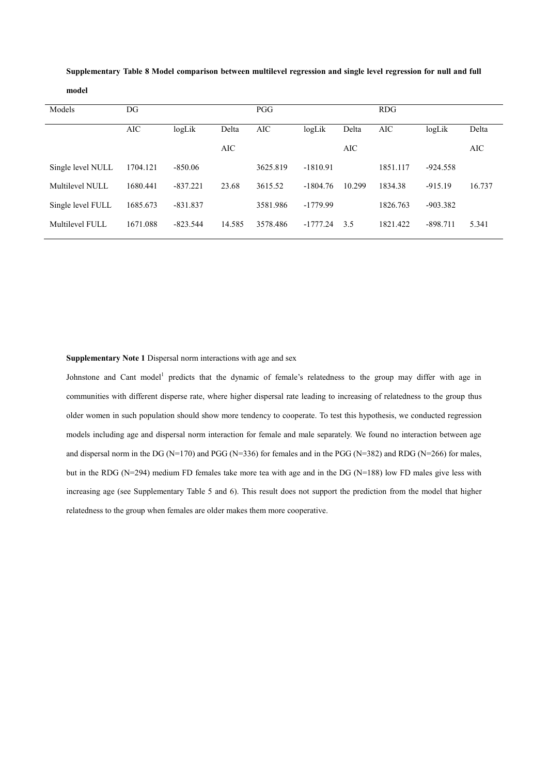| Models            | DG         |            |        | <b>PGG</b> |            |        | <b>RDG</b> |            |        |
|-------------------|------------|------------|--------|------------|------------|--------|------------|------------|--------|
|                   |            |            |        |            |            |        |            |            |        |
|                   | <b>AIC</b> | logLik     | Delta  | <b>AIC</b> | logLik     | Delta  | <b>AIC</b> | logLik     | Delta  |
|                   |            |            |        |            |            |        |            |            |        |
|                   |            |            | AIC    |            |            | AIC    |            |            | AIC    |
| Single level NULL | 1704.121   | $-850.06$  |        | 3625.819   | $-1810.91$ |        | 1851.117   | $-924.558$ |        |
|                   |            |            |        |            |            |        |            |            |        |
| Multilevel NULL   | 1680.441   | $-837.221$ | 23.68  | 3615.52    | $-1804.76$ | 10.299 | 1834.38    | $-915.19$  | 16.737 |
|                   |            |            |        |            |            |        |            |            |        |
| Single level FULL | 1685.673   | $-831.837$ |        | 3581.986   | $-1779.99$ |        | 1826.763   | $-903.382$ |        |
|                   |            |            |        |            |            |        |            |            |        |
| Multilevel FULL   | 1671.088   | $-823.544$ | 14.585 | 3578.486   | $-1777.24$ | 3.5    | 1821.422   | $-898.711$ | 5.341  |
|                   |            |            |        |            |            |        |            |            |        |

**Supplementary Table 8 Model comparison between multilevel regression and single level regression for null and full model**

**Supplementary Note 1** Dispersal norm interactions with age and sex

Johnstone and Cant model<sup>1</sup> predicts that the dynamic of female's relatedness to the group may differ with age in communities with different disperse rate, where higher dispersal rate leading to increasing of relatedness to the group thus older women in such population should show more tendency to cooperate. To test this hypothesis, we conducted regression models including age and dispersal norm interaction for female and male separately. We found no interaction between age and dispersal norm in the DG (N=170) and PGG (N=336) for females and in the PGG (N=382) and RDG (N=266) for males, but in the RDG (N=294) medium FD females take more tea with age and in the DG (N=188) low FD males give less with increasing age (see Supplementary Table 5 and 6). This result does not support the prediction from the model that higher relatedness to the group when females are older makes them more cooperative.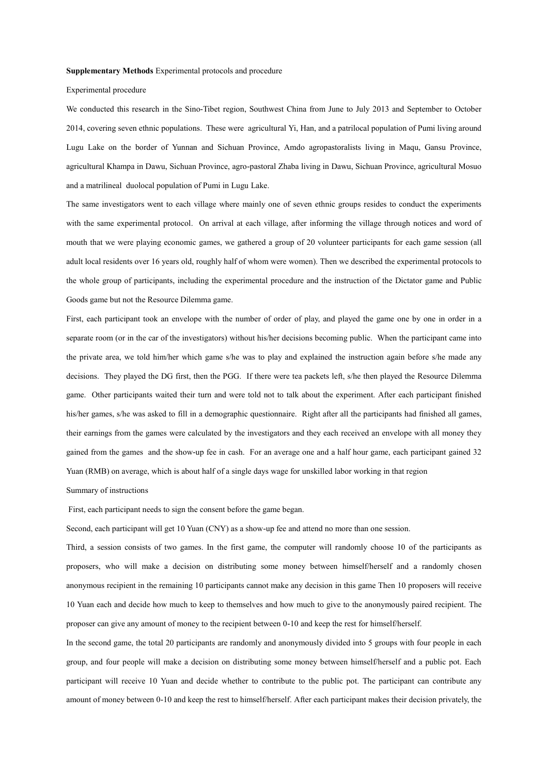#### **Supplementary Methods** Experimental protocols and procedure

#### Experimental procedure

We conducted this research in the Sino-Tibet region, Southwest China from June to July 2013 and September to October 2014, covering seven ethnic populations. These were agricultural Yi, Han, and a patrilocal population of Pumi living around Lugu Lake on the border of Yunnan and Sichuan Province, Amdo agropastoralists living in Maqu, Gansu Province, agricultural Khampa in Dawu, Sichuan Province, agro-pastoral Zhaba living in Dawu, Sichuan Province, agricultural Mosuo and a matrilineal duolocal population of Pumi in Lugu Lake.

The same investigators went to each village where mainly one of seven ethnic groups resides to conduct the experiments with the same experimental protocol. On arrival at each village, after informing the village through notices and word of mouth that we were playing economic games, we gathered a group of 20 volunteer participants for each game session (all adult local residents over 16 years old, roughly half of whom were women). Then we described the experimental protocols to the whole group of participants, including the experimental procedure and the instruction of the Dictator game and Public Goods game but not the Resource Dilemma game.

First, each participant took an envelope with the number of order of play, and played the game one by one in order in a separate room (or in the car of the investigators) without his/her decisions becoming public. When the participant came into the private area, we told him/her which game s/he was to play and explained the instruction again before s/he made any decisions. They played the DG first, then the PGG. If there were tea packets left, s/he then played the Resource Dilemma game. Other participants waited their turn and were told not to talk about the experiment. After each participant finished his/her games, s/he was asked to fill in a demographic questionnaire. Right after all the participants had finished all games, their earnings from the games were calculated by the investigators and they each received an envelope with all money they gained from the games and the show-up fee in cash. For an average one and a half hour game, each participant gained 32 Yuan (RMB) on average, which is about half of a single days wage for unskilled labor working in that region

### Summary of instructions

First, each participant needs to sign the consent before the game began.

Second, each participant will get 10 Yuan (CNY) as a show-up fee and attend no more than one session.

Third, a session consists of two games. In the first game, the computer will randomly choose 10 of the participants as proposers, who will make a decision on distributing some money between himself/herself and a randomly chosen anonymous recipient in the remaining 10 participants cannot make any decision in this game Then 10 proposers will receive 10 Yuan each and decide how much to keep to themselves and how much to give to the anonymously paired recipient. The proposer can give any amount of money to the recipient between 0-10 and keep the rest for himself/herself.

In the second game, the total 20 participants are randomly and anonymously divided into 5 groups with four people in each group, and four people will make a decision on distributing some money between himself/herself and a public pot. Each participant will receive 10 Yuan and decide whether to contribute to the public pot. The participant can contribute any amount of money between 0-10 and keep the rest to himself/herself. After each participant makes their decision privately, the